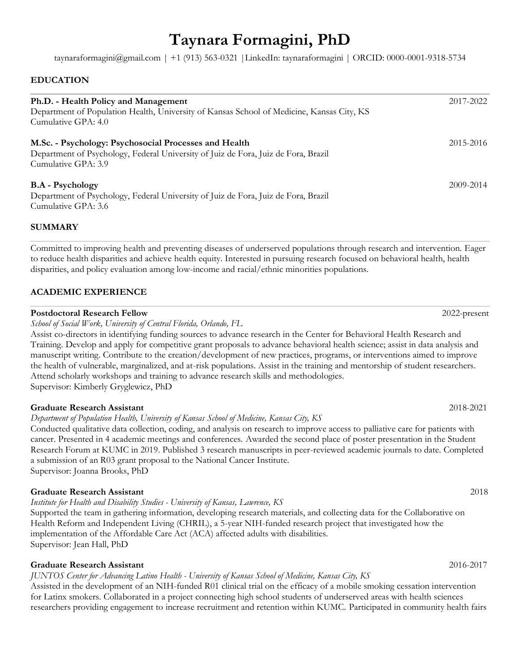# **Taynara Formagini, PhD**

taynaraformagini@gmail.com | +1 (913) 563-0321 |LinkedIn: taynaraformagini | ORCID: 0000-0001-9318-5734

### **EDUCATION**

| Ph.D. - Health Policy and Management<br>Department of Population Health, University of Kansas School of Medicine, Kansas City, KS<br>Cumulative GPA: 4.0           | 2017-2022 |
|--------------------------------------------------------------------------------------------------------------------------------------------------------------------|-----------|
| M.Sc. - Psychology: Psychosocial Processes and Health<br>Department of Psychology, Federal University of Juiz de Fora, Juiz de Fora, Brazil<br>Cumulative GPA: 3.9 | 2015-2016 |
| <b>B.A</b> - Psychology<br>Department of Psychology, Federal University of Juiz de Fora, Juiz de Fora, Brazil<br>Cumulative GPA: 3.6                               | 2009-2014 |

#### **SUMMARY**

Committed to improving health and preventing diseases of underserved populations through research and intervention. Eager to reduce health disparities and achieve health equity. Interested in pursuing research focused on behavioral health, health disparities, and policy evaluation among low-income and racial/ethnic minorities populations.

#### **ACADEMIC EXPERIENCE**

#### **Postdoctoral Research Fellow** 2022-present

*School of Social Work, University of Central Florida, Orlando, FL*

Assist co-directors in identifying funding sources to advance research in the Center for Behavioral Health Research and Training. Develop and apply for competitive grant proposals to advance behavioral health science; assist in data analysis and manuscript writing. Contribute to the creation/development of new practices, programs, or interventions aimed to improve the health of vulnerable, marginalized, and at-risk populations. Assist in the training and mentorship of student researchers. Attend scholarly workshops and training to advance research skills and methodologies. Supervisor: Kimberly Gryglewicz, PhD

#### **Graduate Research Assistant** 2018-2021

*Department of Population Health, University of Kansas School of Medicine, Kansas City, KS*

Conducted qualitative data collection, coding, and analysis on research to improve access to palliative care for patients with cancer. Presented in 4 academic meetings and conferences. Awarded the second place of poster presentation in the Student Research Forum at KUMC in 2019. Published 3 research manuscripts in peer-reviewed academic journals to date. Completed a submission of an R03 grant proposal to the National Cancer Institute. Supervisor: Joanna Brooks, PhD

#### **Graduate Research Assistant** 2018

*Institute for Health and Disability Studies - University of Kansas, Lawrence, KS*

Supported the team in gathering information, developing research materials, and collecting data for the Collaborative on Health Reform and Independent Living (CHRIL), a 5-year NIH-funded research project that investigated how the implementation of the Affordable Care Act (ACA) affected adults with disabilities. Supervisor: Jean Hall, PhD

#### **Graduate Research Assistant** 2016-2017

*JUNTOS Center for Advancing Latino Health - University of Kansas School of Medicine, Kansas City, KS*

Assisted in the development of an NIH-funded R01 clinical trial on the efficacy of a mobile smoking cessation intervention for Latinx smokers. Collaborated in a project connecting high school students of underserved areas with health sciences researchers providing engagement to increase recruitment and retention within KUMC. Participated in community health fairs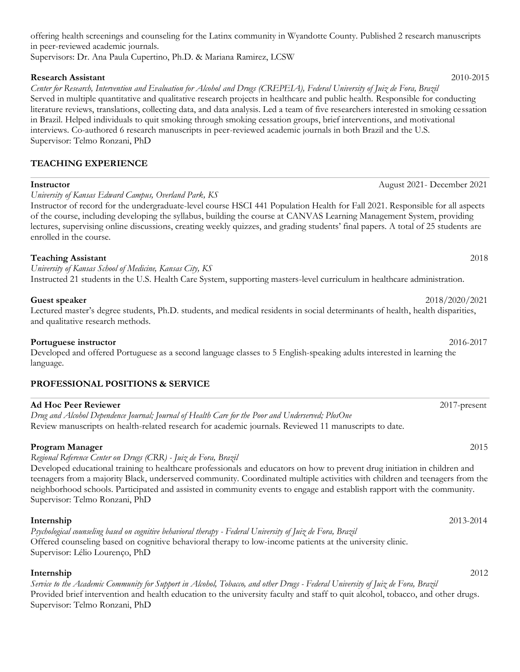offering health screenings and counseling for the Latinx community in Wyandotte County. Published 2 research manuscripts in peer-reviewed academic journals.

Supervisors: Dr. Ana Paula Cupertino, Ph.D. & Mariana Ramirez, LCSW

### **Research Assistant** 2010-2015

*Center for Research, Intervention and Evaluation for Alcohol and Drugs (CREPEIA), Federal University of Juiz de Fora, Brazil* Served in multiple quantitative and qualitative research projects in healthcare and public health. Responsible for conducting literature reviews, translations, collecting data, and data analysis. Led a team of five researchers interested in smoking cessation in Brazil. Helped individuals to quit smoking through smoking cessation groups, brief interventions, and motivational interviews. Co-authored 6 research manuscripts in peer-reviewed academic journals in both Brazil and the U.S. Supervisor: Telmo Ronzani, PhD

# **TEACHING EXPERIENCE**

*University of Kansas Edward Campus, Overland Park, KS*

Instructor of record for the undergraduate-level course HSCI 441 Population Health for Fall 2021. Responsible for all aspects of the course, including developing the syllabus, building the course at CANVAS Learning Management System, providing lectures, supervising online discussions, creating weekly quizzes, and grading students' final papers. A total of 25 students are enrolled in the course.

# **Teaching Assistant** 2018

*University of Kansas School of Medicine, Kansas City, KS* Instructed 21 students in the U.S. Health Care System, supporting masters-level curriculum in healthcare administration.

### **Guest speaker** 2018/2020/2021

Lectured master's degree students, Ph.D. students, and medical residents in social determinants of health, health disparities, and qualitative research methods.

# **Portuguese instructor** 2016-2017

Developed and offered Portuguese as a second language classes to 5 English-speaking adults interested in learning the language.

# **PROFESSIONAL POSITIONS & SERVICE**

#### **Ad Hoc Peer Reviewer** 2017-present

*Drug and Alcohol Dependence Journal; Journal of Health Care for the Poor and Underserved; PlosOne* Review manuscripts on health-related research for academic journals. Reviewed 11 manuscripts to date.

# **Program Manager** 2015

*Regional Reference Center on Drugs (CRR) - Juiz de Fora, Brazil*  Developed educational training to healthcare professionals and educators on how to prevent drug initiation in children and teenagers from a majority Black, underserved community. Coordinated multiple activities with children and teenagers from the neighborhood schools. Participated and assisted in community events to engage and establish rapport with the community. Supervisor: Telmo Ronzani, PhD

# **Internship** 2013-2014

*Psychological counseling based on cognitive behavioral therapy - Federal University of Juiz de Fora, Brazil*  Offered counseling based on cognitive behavioral therapy to low-income patients at the university clinic. Supervisor: Lélio Lourenço, PhD

# **Internship** 2012

*Service to the Academic Community for Support in Alcohol, Tobacco, and other Drugs - Federal University of Juiz de Fora, Brazil*  Provided brief intervention and health education to the university faculty and staff to quit alcohol, tobacco, and other drugs. Supervisor: Telmo Ronzani, PhD

**Instructor** August 2021- December 2021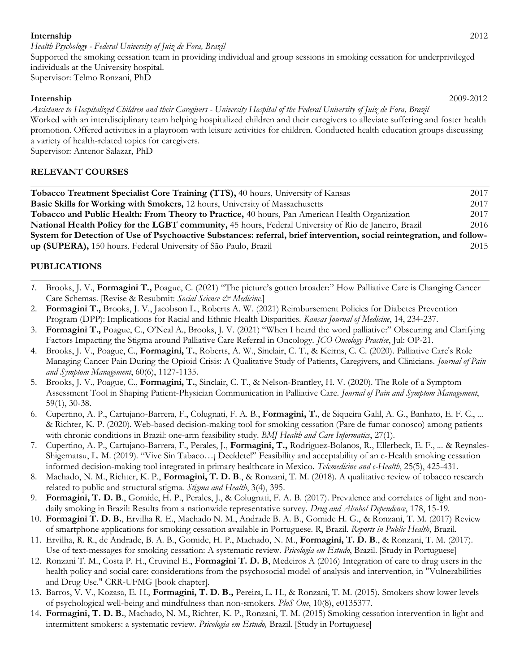#### **Internship** 2012

*Health Psychology - Federal University of Juiz de Fora, Brazil*  Supported the smoking cessation team in providing individual and group sessions in smoking cessation for underprivileged individuals at the University hospital. Supervisor: Telmo Ronzani, PhD

#### **Internship** 2009-2012

*Assistance to Hospitalized Children and their Caregivers - University Hospital of the Federal University of Juiz de Fora, Brazil*  Worked with an interdisciplinary team helping hospitalized children and their caregivers to alleviate suffering and foster health promotion. Offered activities in a playroom with leisure activities for children. Conducted health education groups discussing a variety of health-related topics for caregivers.

Supervisor: Antenor Salazar, PhD

# **RELEVANT COURSES**

| <b>Tobacco Treatment Specialist Core Training (TTS), 40 hours, University of Kansas</b>                                 | 2017 |
|-------------------------------------------------------------------------------------------------------------------------|------|
| Basic Skills for Working with Smokers, 12 hours, University of Massachusetts                                            | 2017 |
| Tobacco and Public Health: From Theory to Practice, 40 hours, Pan American Health Organization                          | 2017 |
| National Health Policy for the LGBT community, 45 hours, Federal University of Rio de Janeiro, Brazil                   | 2016 |
| System for Detection of Use of Psychoactive Substances: referral, brief intervention, social reintegration, and follow- |      |
| up (SUPERA), 150 hours. Federal University of São Paulo, Brazil                                                         | 2015 |

# **PUBLICATIONS**

- *1.* Brooks, J. V., **Formagini T.,** Poague, C. (2021) "The picture's gotten broader:" How Palliative Care is Changing Cancer Care Schemas. [Revise & Resubmit: *Social Science & Medicine.*]
- 2. **Formagini T.,** Brooks, J. V., Jacobson L., Roberts A. W. (2021) Reimbursement Policies for Diabetes Prevention Program (DPP): Implications for Racial and Ethnic Health Disparities. *Kansas Journal of Medicine*, 14, 234-237.
- 3. **Formagini T.,** Poague, C., O'Neal A., Brooks, J. V. (2021) "When I heard the word palliative:" Obscuring and Clarifying Factors Impacting the Stigma around Palliative Care Referral in Oncology. *JCO Oncology Practice*, Jul: OP-21.
- 4. Brooks, J. V., Poague, C., **Formagini, T.**, Roberts, A. W., Sinclair, C. T., & Keirns, C. C. (2020). Palliative Care's Role Managing Cancer Pain During the Opioid Crisis: A Qualitative Study of Patients, Caregivers, and Clinicians. *Journal of Pain and Symptom Management*, 60(6), 1127-1135.
- 5. Brooks, J. V., Poague, C., **Formagini, T.**, Sinclair, C. T., & Nelson-Brantley, H. V. (2020). The Role of a Symptom Assessment Tool in Shaping Patient-Physician Communication in Palliative Care*. Journal of Pain and Symptom Management*, 59(1), 30-38.
- 6. Cupertino, A. P., Cartujano-Barrera, F., Colugnati, F. A. B., **Formagini, T.**, de Siqueira Galil, A. G., Banhato, E. F. C., ... & Richter, K. P. (2020). Web-based decision-making tool for smoking cessation (Pare de fumar conosco) among patients with chronic conditions in Brazil: one-arm feasibility study. *BMJ Health and Care Informatics*, 27(1).
- 7. Cupertino, A. P., Cartujano-Barrera, F., Perales, J., **Formagini, T.,** Rodriguez-Bolanos, R., Ellerbeck, E. F., ... & Reynales-Shigematsu, L. M. (2019). "Vive Sin Tabaco…¡ Decídete!" Feasibility and acceptability of an e-Health smoking cessation informed decision-making tool integrated in primary healthcare in Mexico. *Telemedicine and e-Health*, 25(5), 425-431.
- 8. Machado, N. M., Richter, K. P., **Formagini, T. D. B**., & Ronzani, T. M. (2018). A qualitative review of tobacco research related to public and structural stigma. *Stigma and Health*, 3(4), 395.
- 9. **Formagini, T. D. B**., Gomide, H. P., Perales, J., & Colugnati, F. A. B. (2017). Prevalence and correlates of light and nondaily smoking in Brazil: Results from a nationwide representative survey. *Drug and Alcohol Dependence*, 178, 15-19.
- 10. **Formagini T. D. B.**, Ervilha R. E., Machado N. M., Andrade B. A. B., Gomide H. G., & Ronzani, T. M. (2017) Review of smartphone applications for smoking cessation available in Portuguese. R, Brazil. *Reports in Public Health*, Brazil.
- 11. Ervilha, R. R., de Andrade, B. A. B., Gomide, H. P., Machado, N. M., **Formagini, T. D. B**., & Ronzani, T. M. (2017). Use of text-messages for smoking cessation: A systematic review. *Psicologia em Estudo*, Brazil. [Study in Portuguese]
- 12. Ronzani T. M., Costa P. H., Cruvinel E., **Formagini T. D. B**, Medeiros A (2016) Integration of care to drug users in the health policy and social care: considerations from the psychosocial model of analysis and intervention, in "Vulnerabilities and Drug Use." CRR-UFMG [book chapter].
- 13. Barros, V. V., Kozasa, E. H., **Formagini, T. D. B.,** Pereira, L. H., & Ronzani, T. M. (2015). Smokers show lower levels of psychological well-being and mindfulness than non-smokers. *PloS One*, 10(8), e0135377.
- 14. **Formagini, T. D. B.**, Machado, N. M., Richter, K. P., Ronzani, T. M. (2015) Smoking cessation intervention in light and intermittent smokers: a systematic review. *Psicologia em Estudo,* Brazil. [Study in Portuguese]